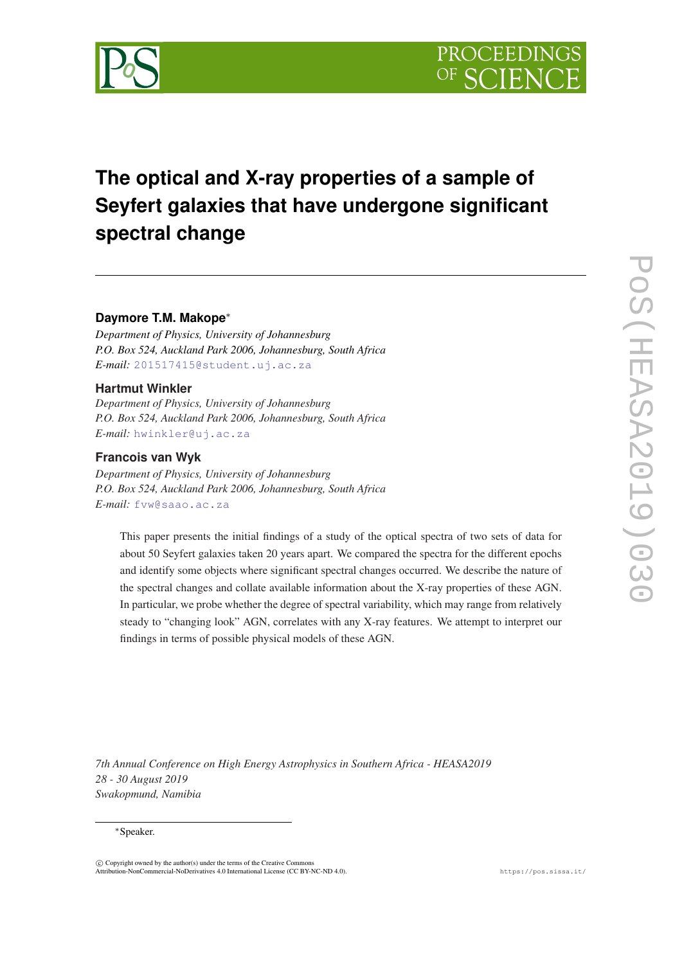

# **The optical and X-ray properties of a sample of Seyfert galaxies that have undergone significant spectral change**

# **Daymore T.M. Makope**<sup>∗</sup>

*Department of Physics, University of Johannesburg P.O. Box 524, Auckland Park 2006, Johannesburg, South Africa E-mail:* [201517415@student.uj.ac.za](mailto:201517415@student.uj.ac.za)

# **Hartmut Winkler**

*Department of Physics, University of Johannesburg P.O. Box 524, Auckland Park 2006, Johannesburg, South Africa E-mail:* [hwinkler@uj.ac.za](mailto:hwinkler@uj.ac.za)

# **Francois van Wyk**

*Department of Physics, University of Johannesburg P.O. Box 524, Auckland Park 2006, Johannesburg, South Africa E-mail:* [fvw@saao.ac.za](mailto:fvw@saao.ac.za)

This paper presents the initial findings of a study of the optical spectra of two sets of data for about 50 Seyfert galaxies taken 20 years apart. We compared the spectra for the different epochs and identify some objects where significant spectral changes occurred. We describe the nature of the spectral changes and collate available information about the X-ray properties of these AGN. In particular, we probe whether the degree of spectral variability, which may range from relatively steady to "changing look" AGN, correlates with any X-ray features. We attempt to interpret our findings in terms of possible physical models of these AGN.

*7th Annual Conference on High Energy Astrophysics in Southern Africa - HEASA2019 28 - 30 August 2019 Swakopmund, Namibia*

#### <sup>∗</sup>Speaker.

 $\overline{c}$  Copyright owned by the author(s) under the terms of the Creative Common Attribution-NonCommercial-NoDerivatives 4.0 International License (CC BY-NC-ND 4.0). https://pos.sissa.it/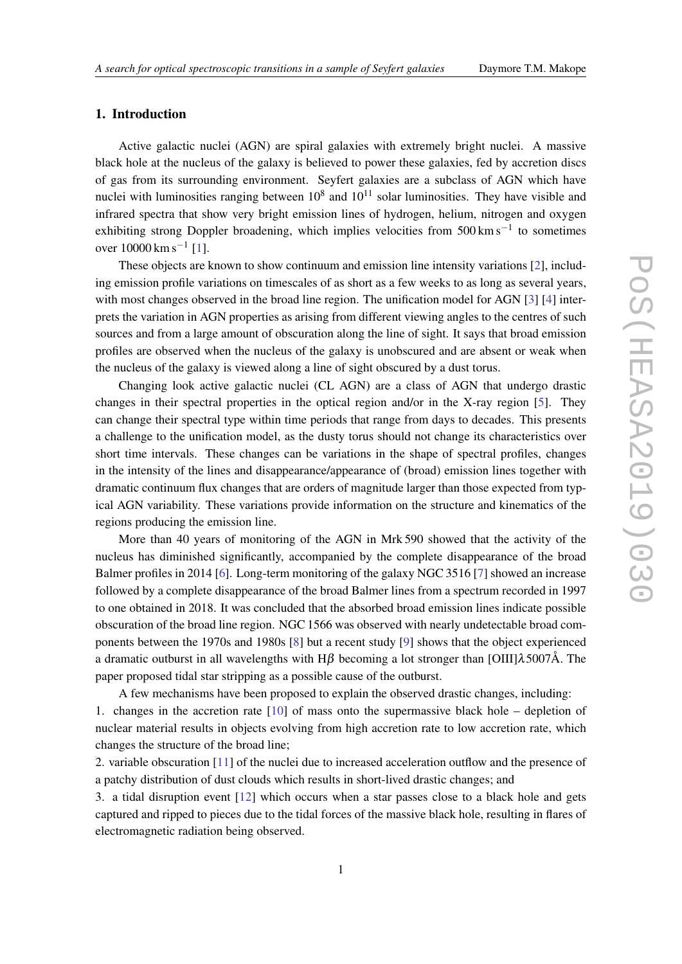# 1. Introduction

Active galactic nuclei (AGN) are spiral galaxies with extremely bright nuclei. A massive black hole at the nucleus of the galaxy is believed to power these galaxies, fed by accretion discs of gas from its surrounding environment. Seyfert galaxies are a subclass of AGN which have nuclei with luminosities ranging between  $10^8$  and  $10^{11}$  solar luminosities. They have visible and infrared spectra that show very bright emission lines of hydrogen, helium, nitrogen and oxygen exhibiting strong Doppler broadening, which implies velocities from 500 km s<sup>-1</sup> to sometimes over 10000 km s<sup>-1</sup> [\[1\]](#page-5-0).

These objects are known to show continuum and emission line intensity variations [[2](#page-5-0)], including emission profile variations on timescales of as short as a few weeks to as long as several years, with most changes observed in the broad line region. The unification model for AGN [\[3\]](#page-5-0) [[4](#page-5-0)] interprets the variation in AGN properties as arising from different viewing angles to the centres of such sources and from a large amount of obscuration along the line of sight. It says that broad emission profiles are observed when the nucleus of the galaxy is unobscured and are absent or weak when the nucleus of the galaxy is viewed along a line of sight obscured by a dust torus.

Changing look active galactic nuclei (CL AGN) are a class of AGN that undergo drastic changes in their spectral properties in the optical region and/or in the X-ray region [[5](#page-5-0)]. They can change their spectral type within time periods that range from days to decades. This presents a challenge to the unification model, as the dusty torus should not change its characteristics over short time intervals. These changes can be variations in the shape of spectral profiles, changes in the intensity of the lines and disappearance/appearance of (broad) emission lines together with dramatic continuum flux changes that are orders of magnitude larger than those expected from typical AGN variability. These variations provide information on the structure and kinematics of the regions producing the emission line.

More than 40 years of monitoring of the AGN in Mrk 590 showed that the activity of the nucleus has diminished significantly, accompanied by the complete disappearance of the broad Balmer profiles in 2014 [\[6\]](#page-5-0). Long-term monitoring of the galaxy NGC 3516 [[7](#page-5-0)] showed an increase followed by a complete disappearance of the broad Balmer lines from a spectrum recorded in 1997 to one obtained in 2018. It was concluded that the absorbed broad emission lines indicate possible obscuration of the broad line region. NGC 1566 was observed with nearly undetectable broad components between the 1970s and 1980s [\[8\]](#page-6-0) but a recent study [\[9\]](#page-6-0) shows that the object experienced a dramatic outburst in all wavelengths with  $H\beta$  becoming a lot stronger than [OIII] $\lambda$ 5007Å. The paper proposed tidal star stripping as a possible cause of the outburst.

A few mechanisms have been proposed to explain the observed drastic changes, including:

1. changes in the accretion rate [[10\]](#page-6-0) of mass onto the supermassive black hole – depletion of nuclear material results in objects evolving from high accretion rate to low accretion rate, which changes the structure of the broad line;

2. variable obscuration [\[11](#page-6-0)] of the nuclei due to increased acceleration outflow and the presence of a patchy distribution of dust clouds which results in short-lived drastic changes; and

3. a tidal disruption event [[12\]](#page-6-0) which occurs when a star passes close to a black hole and gets captured and ripped to pieces due to the tidal forces of the massive black hole, resulting in flares of electromagnetic radiation being observed.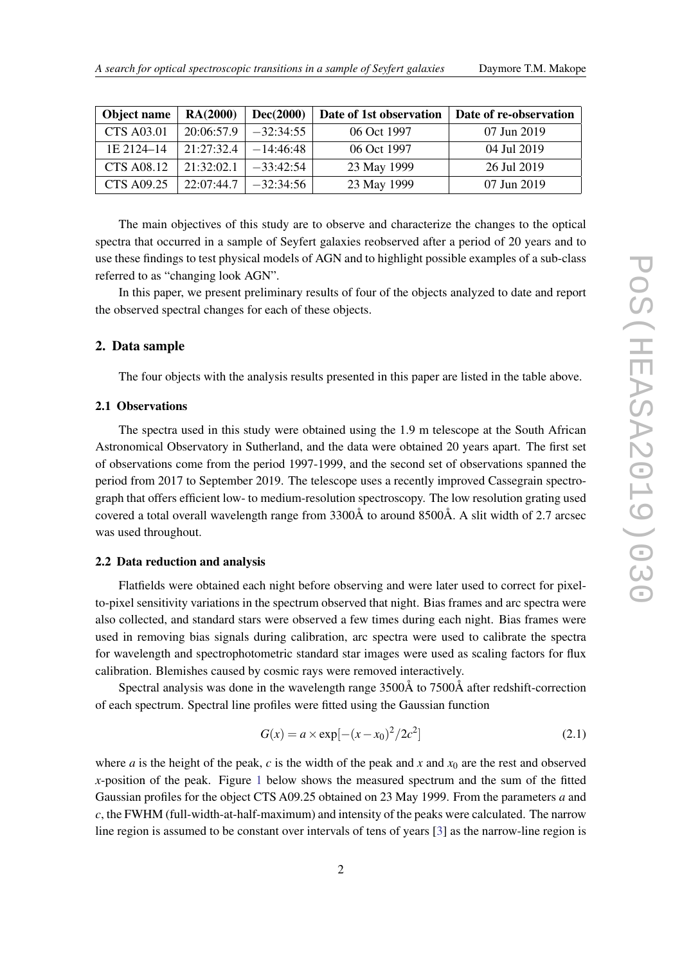| Object name       | RA(2000)   | Dec(2000)   | Date of 1st observation | Date of re-observation |
|-------------------|------------|-------------|-------------------------|------------------------|
| <b>CTS A03.01</b> | 20:06:57.9 | $-32:34:55$ | 06 Oct 1997             | 07 Jun 2019            |
| 1E 2124-14        | 21:27:32.4 | $-14:46:48$ | 06 Oct 1997             | 04 Jul 2019            |
| <b>CTS A08.12</b> | 21:32:02.1 | $-33:42:54$ | 23 May 1999             | 26 Jul 2019            |
| <b>CTS A09.25</b> | 22:07:44.7 | $-32:34:56$ | 23 May 1999             | 07 Jun 2019            |

The main objectives of this study are to observe and characterize the changes to the optical spectra that occurred in a sample of Seyfert galaxies reobserved after a period of 20 years and to use these findings to test physical models of AGN and to highlight possible examples of a sub-class referred to as "changing look AGN".

In this paper, we present preliminary results of four of the objects analyzed to date and report the observed spectral changes for each of these objects.

#### 2. Data sample

The four objects with the analysis results presented in this paper are listed in the table above.

# 2.1 Observations

The spectra used in this study were obtained using the 1.9 m telescope at the South African Astronomical Observatory in Sutherland, and the data were obtained 20 years apart. The first set of observations come from the period 1997-1999, and the second set of observations spanned the period from 2017 to September 2019. The telescope uses a recently improved Cassegrain spectrograph that offers efficient low- to medium-resolution spectroscopy. The low resolution grating used covered a total overall wavelength range from 3300Å to around 8500Å. A slit width of 2.7 arcsec was used throughout.

# 2.2 Data reduction and analysis

Flatfields were obtained each night before observing and were later used to correct for pixelto-pixel sensitivity variations in the spectrum observed that night. Bias frames and arc spectra were also collected, and standard stars were observed a few times during each night. Bias frames were used in removing bias signals during calibration, arc spectra were used to calibrate the spectra for wavelength and spectrophotometric standard star images were used as scaling factors for flux calibration. Blemishes caused by cosmic rays were removed interactively.

Spectral analysis was done in the wavelength range 3500Å to 7500Å after redshift-correction of each spectrum. Spectral line profiles were fitted using the Gaussian function

$$
G(x) = a \times \exp[-(x - x_0)^2 / 2c^2]
$$
 (2.1)

where *a* is the height of the peak, *c* is the width of the peak and *x* and  $x_0$  are the rest and observed *x*-position of the peak. Figure [1](#page-3-0) below shows the measured spectrum and the sum of the fitted Gaussian profiles for the object CTS A09.25 obtained on 23 May 1999. From the parameters *a* and *c*, the FWHM (full-width-at-half-maximum) and intensity of the peaks were calculated. The narrow line region is assumed to be constant over intervals of tens of years [\[3\]](#page-5-0) as the narrow-line region is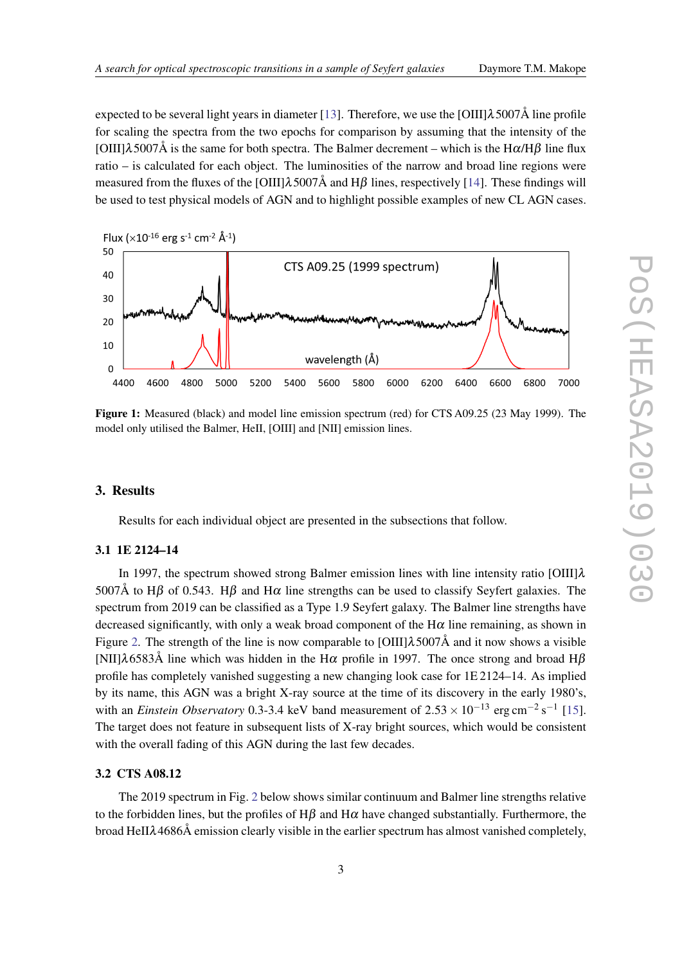<span id="page-3-0"></span>expected to be several light years in diameter [\[13](#page-6-0)]. Therefore, we use the [OIII] $\lambda$ 5007Å line profile for scaling the spectra from the two epochs for comparison by assuming that the intensity of the [OIII] $\lambda$ 5007Å is the same for both spectra. The Balmer decrement – which is the H $\alpha/H\beta$  line flux ratio – is calculated for each object. The luminosities of the narrow and broad line regions were measured from the fluxes of the [OIII] $\lambda$ 5007Å and H $\beta$  lines, respectively [\[14](#page-6-0)]. These findings will be used to test physical models of AGN and to highlight possible examples of new CL AGN cases.



Figure 1: Measured (black) and model line emission spectrum (red) for CTS A09.25 (23 May 1999). The model only utilised the Balmer, HeII, [OIII] and [NII] emission lines.

#### 3. Results

Results for each individual object are presented in the subsections that follow.

# 3.1 1E 2124–14

In 1997, the spectrum showed strong Balmer emission lines with line intensity ratio [OIII] $\lambda$ 5007Å to H $\beta$  of 0.543. H $\beta$  and H $\alpha$  line strengths can be used to classify Seyfert galaxies. The spectrum from 2019 can be classified as a Type 1.9 Seyfert galaxy. The Balmer line strengths have decreased significantly, with only a weak broad component of the  $H\alpha$  line remaining, as shown in Figure [2](#page-4-0). The strength of the line is now comparable to [OIII] $\lambda$ 5007Å and it now shows a visible [NII] $\lambda$ 6583Å line which was hidden in the H $\alpha$  profile in 1997. The once strong and broad H $\beta$ profile has completely vanished suggesting a new changing look case for 1E 2124–14. As implied by its name, this AGN was a bright X-ray source at the time of its discovery in the early 1980's, with an *Einstein Observatory* 0.3-3.4 keV band measurement of  $2.53 \times 10^{-13}$  erg cm<sup>-2</sup> s<sup>-1</sup> [[15\]](#page-6-0). The target does not feature in subsequent lists of X-ray bright sources, which would be consistent with the overall fading of this AGN during the last few decades.

#### 3.2 CTS A08.12

The 2019 spectrum in Fig. [2](#page-4-0) below shows similar continuum and Balmer line strengths relative to the forbidden lines, but the profiles of H $\beta$  and H $\alpha$  have changed substantially. Furthermore, the broad HeIIλ4686Å emission clearly visible in the earlier spectrum has almost vanished completely,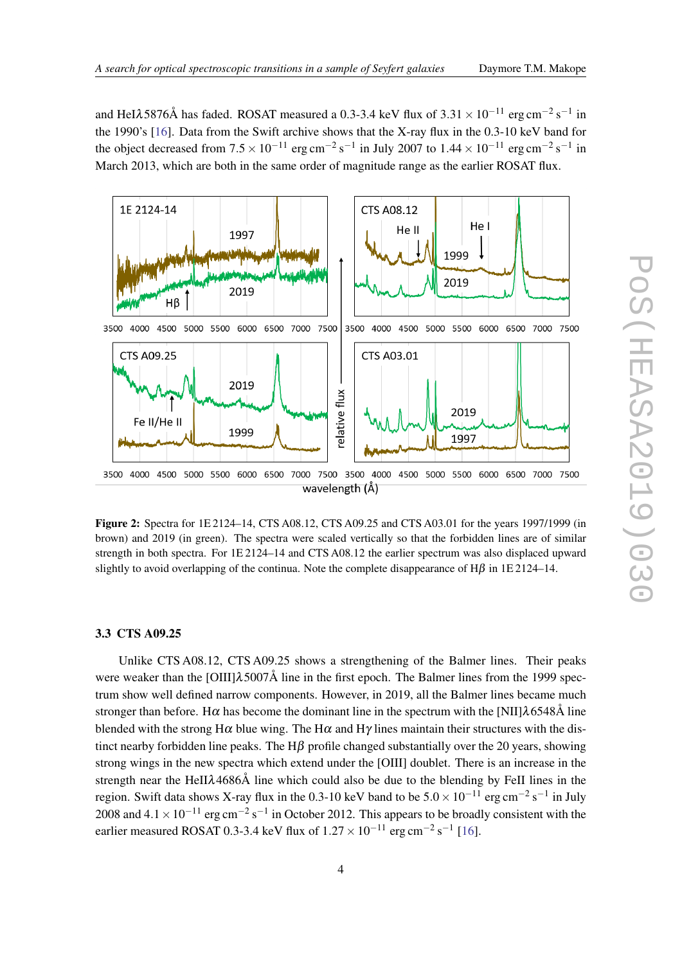<span id="page-4-0"></span>and HeI $\lambda$ 5876Å has faded. ROSAT measured a 0.3-3.4 keV flux of 3.31 × 10<sup>-11</sup> erg cm<sup>-2</sup> s<sup>-1</sup> in the 1990's [\[16](#page-6-0)]. Data from the Swift archive shows that the X-ray flux in the 0.3-10 keV band for the object decreased from  $7.5 \times 10^{-11}$  erg cm<sup>-2</sup> s<sup>-1</sup> in July 2007 to  $1.44 \times 10^{-11}$  erg cm<sup>-2</sup> s<sup>-1</sup> in March 2013, which are both in the same order of magnitude range as the earlier ROSAT flux.



Figure 2: Spectra for 1E 2124–14, CTS A08.12, CTS A09.25 and CTS A03.01 for the years 1997/1999 (in brown) and 2019 (in green). The spectra were scaled vertically so that the forbidden lines are of similar strength in both spectra. For 1E 2124–14 and CTS A08.12 the earlier spectrum was also displaced upward slightly to avoid overlapping of the continua. Note the complete disappearance of  $H\beta$  in 1E 2124–14.

### 3.3 CTS A09.25

Unlike CTS A08.12, CTS A09.25 shows a strengthening of the Balmer lines. Their peaks were weaker than the  $\text{[OIII]}$  $\lambda$ 5007Å line in the first epoch. The Balmer lines from the 1999 spectrum show well defined narrow components. However, in 2019, all the Balmer lines became much stronger than before. Hα has become the dominant line in the spectrum with the [NII] $\lambda$ 6548Å line blended with the strong H $\alpha$  blue wing. The H $\alpha$  and H $\gamma$  lines maintain their structures with the distinct nearby forbidden line peaks. The  $H\beta$  profile changed substantially over the 20 years, showing strong wings in the new spectra which extend under the [OIII] doublet. There is an increase in the strength near the HeIIλ4686Å line which could also be due to the blending by FeII lines in the region. Swift data shows X-ray flux in the 0.3-10 keV band to be  $5.0 \times 10^{-11}$  erg cm<sup>-2</sup> s<sup>-1</sup> in July 2008 and  $4.1 \times 10^{-11}$  erg cm<sup>-2</sup> s<sup>-1</sup> in October 2012. This appears to be broadly consistent with the earlier measured ROSAT 0.3-3.4 keV flux of  $1.27 \times 10^{-11}$  erg cm<sup>-2</sup> s<sup>-1</sup> [\[16\]](#page-6-0).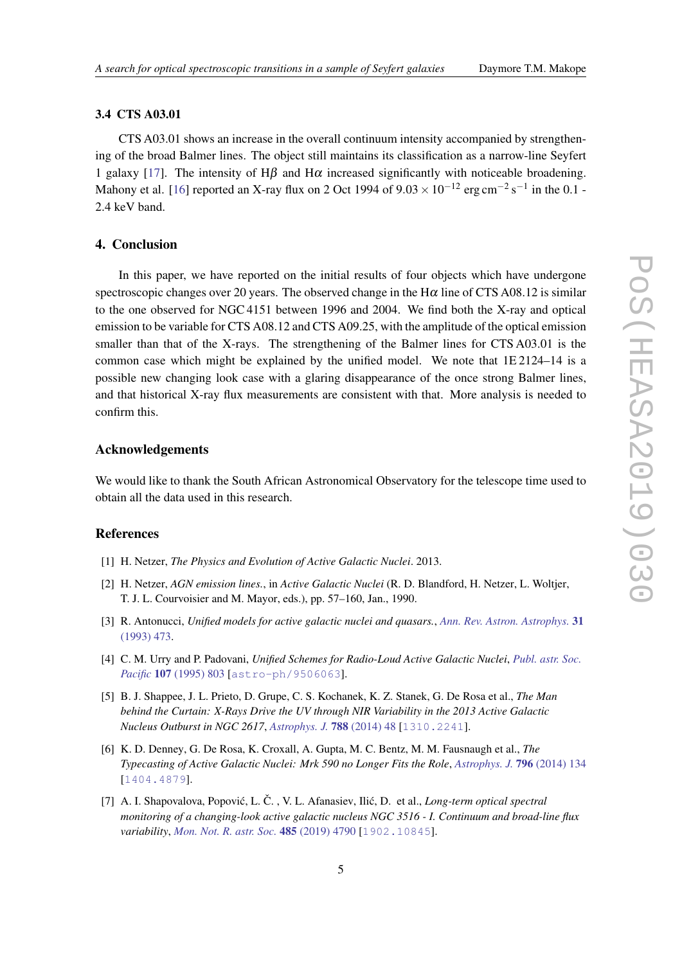#### <span id="page-5-0"></span>3.4 CTS A03.01

CTS A03.01 shows an increase in the overall continuum intensity accompanied by strengthening of the broad Balmer lines. The object still maintains its classification as a narrow-line Seyfert 1 galaxy [\[17\]](#page-6-0). The intensity of H $\beta$  and H $\alpha$  increased significantly with noticeable broadening. Mahony et al. [[16\]](#page-6-0) reported an X-ray flux on 2 Oct 1994 of 9.03  $\times$  10<sup>-12</sup> erg cm<sup>-2</sup> s<sup>-1</sup> in the 0.1 -2.4 keV band.

### 4. Conclusion

In this paper, we have reported on the initial results of four objects which have undergone spectroscopic changes over 20 years. The observed change in the  $H\alpha$  line of CTS A08.12 is similar to the one observed for NGC 4151 between 1996 and 2004. We find both the X-ray and optical emission to be variable for CTS A08.12 and CTS A09.25, with the amplitude of the optical emission smaller than that of the X-rays. The strengthening of the Balmer lines for CTS A03.01 is the common case which might be explained by the unified model. We note that 1E 2124–14 is a possible new changing look case with a glaring disappearance of the once strong Balmer lines, and that historical X-ray flux measurements are consistent with that. More analysis is needed to confirm this.

#### Acknowledgements

We would like to thank the South African Astronomical Observatory for the telescope time used to obtain all the data used in this research.

# References

- [1] H. Netzer, *The Physics and Evolution of Active Galactic Nuclei*. 2013.
- [2] H. Netzer, *AGN emission lines.*, in *Active Galactic Nuclei* (R. D. Blandford, H. Netzer, L. Woltjer, T. J. L. Courvoisier and M. Mayor, eds.), pp. 57–160, Jan., 1990.
- [3] R. Antonucci, *Unified models for active galactic nuclei and quasars.*, *[Ann. Rev. Astron. Astrophys.](https://doi.org/10.1146/annurev.aa.31.090193.002353)* 31 [\(1993\) 473](https://doi.org/10.1146/annurev.aa.31.090193.002353).
- [4] C. M. Urry and P. Padovani, *Unified Schemes for Radio-Loud Active Galactic Nuclei*, *[Publ. astr. Soc.](https://doi.org/10.1086/133630) Pacific* 107 [\(1995\) 803](https://doi.org/10.1086/133630) [[astro-ph/9506063](https://arxiv.org/abs/astro-ph/9506063)].
- [5] B. J. Shappee, J. L. Prieto, D. Grupe, C. S. Kochanek, K. Z. Stanek, G. De Rosa et al., *The Man behind the Curtain: X-Rays Drive the UV through NIR Variability in the 2013 Active Galactic Nucleus Outburst in NGC 2617*, *[Astrophys. J.](https://doi.org/10.1088/0004-637X/788/1/48)* 788 (2014) 48 [[1310.2241](https://arxiv.org/abs/1310.2241)].
- [6] K. D. Denney, G. De Rosa, K. Croxall, A. Gupta, M. C. Bentz, M. M. Fausnaugh et al., *The Typecasting of Active Galactic Nuclei: Mrk 590 no Longer Fits the Role*, *[Astrophys. J.](https://doi.org/10.1088/0004-637X/796/2/134)* 796 (2014) 134 [[1404.4879](https://arxiv.org/abs/1404.4879)].
- [7] A. I. Shapovalova, Popović, L. Č., V. L. Afanasiev, Ilić, D. et al., *Long-term optical spectral monitoring of a changing-look active galactic nucleus NGC 3516 - I. Continuum and broad-line flux variability*, *[Mon. Not. R. astr. Soc.](https://doi.org/10.1093/mnras/stz692)* 485 (2019) 4790 [[1902.10845](https://arxiv.org/abs/1902.10845)].